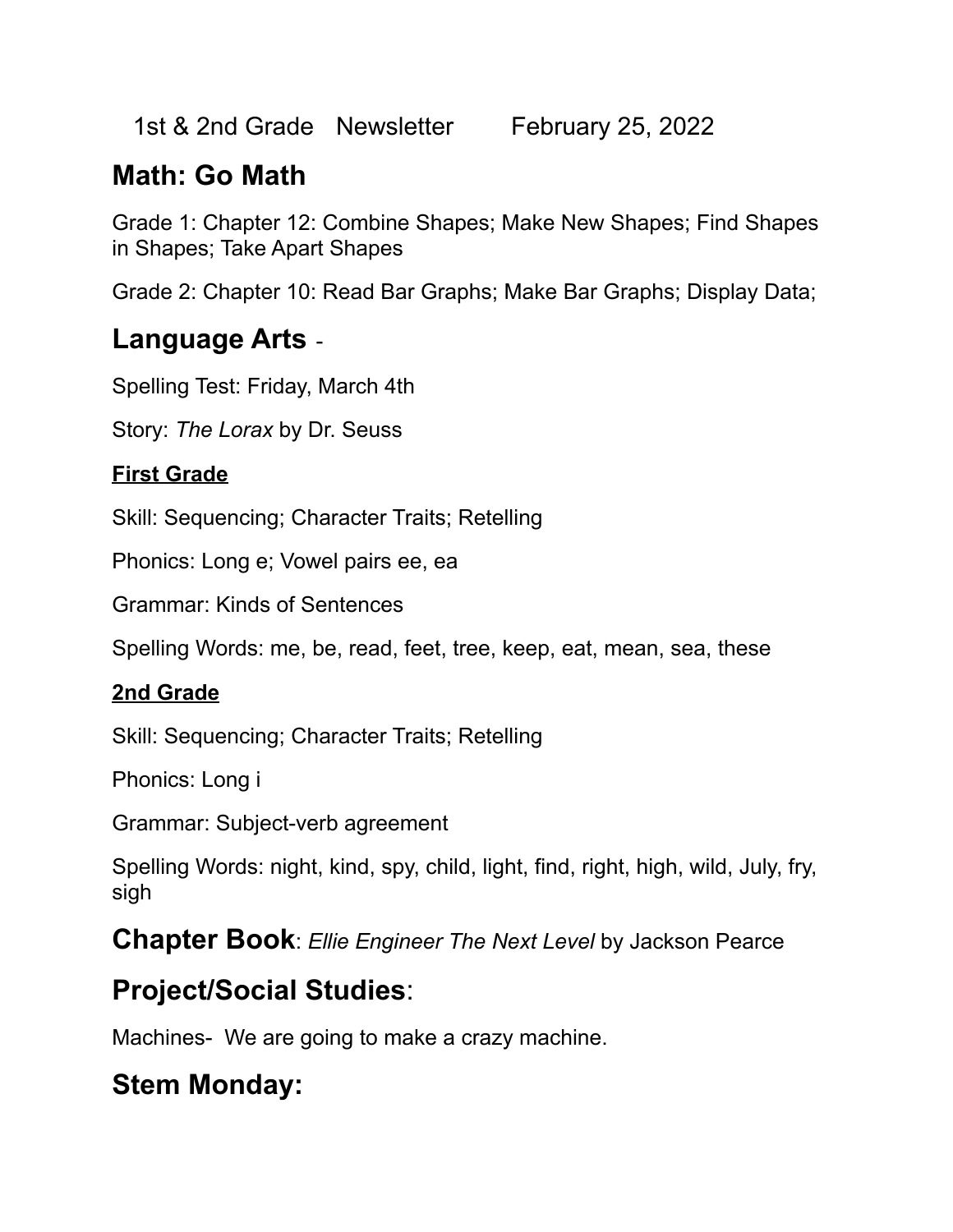1st & 2nd Grade Newsletter February 25, 2022

# **Math: Go Math**

Grade 1: Chapter 12: Combine Shapes; Make New Shapes; Find Shapes in Shapes; Take Apart Shapes

Grade 2: Chapter 10: Read Bar Graphs; Make Bar Graphs; Display Data;

### **Language Arts** -

Spelling Test: Friday, March 4th

Story: *The Lorax* by Dr. Seuss

#### **First Grade**

Skill: Sequencing; Character Traits; Retelling

Phonics: Long e; Vowel pairs ee, ea

Grammar: Kinds of Sentences

Spelling Words: me, be, read, feet, tree, keep, eat, mean, sea, these

#### **2nd Grade**

Skill: Sequencing; Character Traits; Retelling

Phonics: Long i

Grammar: Subject-verb agreement

Spelling Words: night, kind, spy, child, light, find, right, high, wild, July, fry, sigh

**Chapter Book**: *Ellie Engineer The Next Level* by Jackson Pearce

## **Project/Social Studies**:

Machines- We are going to make a crazy machine.

## **Stem Monday:**